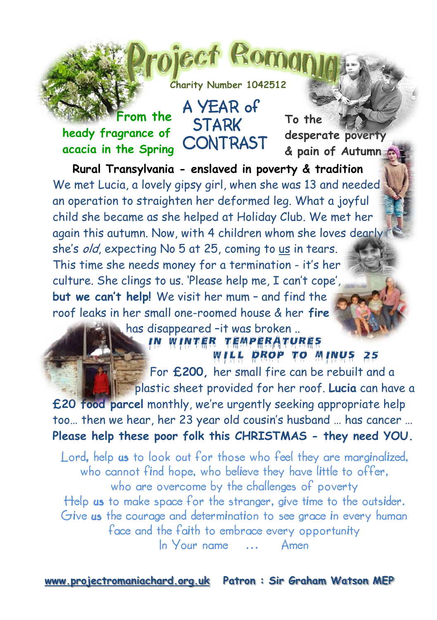

piect Rom

A YEAR of

## **heady fragrance of** STARK CONTRAST **acacia in the Spring From the**

ú

**To the desperate poverty & pain of Autumn** 

 **Rural Transylvania - enslaved in poverty & tradition**  We met Lucia, a lovely gipsy girl, when she was 13 and needed an operation to straighten her deformed leg. What a joyful child she became as she helped at Holiday Club. We met her again this autumn. Now, with 4 children whom she loves dearly she's old, expecting No 5 at 25, coming to us in tears. This time she needs money for a termination - it's her culture. She clings to us. 'Please help me, I can't cope', **but we can't help!** We visit her mum – and find the roof leaks in her small one-roomed house & her **fire**

> has disappeared –it was broken .. IN WINTER TEMPERATURES

> > ILL DROP TO MINUS 25

 For **£200,** her small fire can be rebuilt and a plastic sheet provided for her roof. **Lucia** can have a

**£20 food parcel** monthly, we're urgently seeking appropriate help too… then we hear, her 23 year old cousin's husband … has cancer … **Please help these poor folk this CHRISTMAS - they need YOU.**

Lord, help us to look out for those who feel they are marginalized, who cannot find hope, who believe they have little to offer, who are overcome by the challenges of poverty Help us to make space for the stranger, give time to the outsider. Give us the courage and determination to see grace in every human face and the faith to embrace every opportunity In Your name … Amen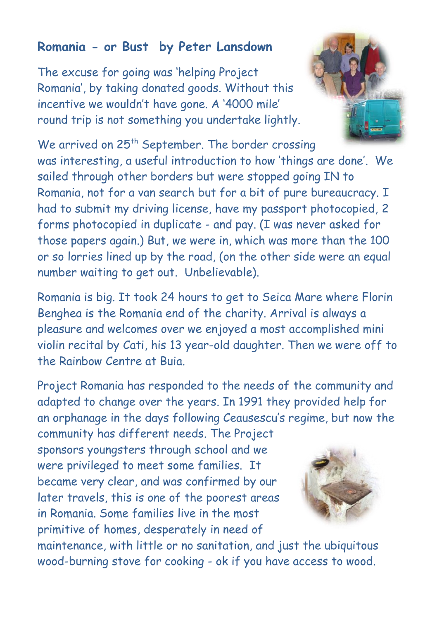## **Romania - or Bust by Peter Lansdown**

The excuse for going was 'helping Project Romania', by taking donated goods. Without this incentive we wouldn't have gone. A '4000 mile' round trip is not something you undertake lightly.



We arrived on 25<sup>th</sup> September. The border crossing was interesting, a useful introduction to how 'things are done'. We sailed through other borders but were stopped going IN to Romania, not for a van search but for a bit of pure bureaucracy. I had to submit my driving license, have my passport photocopied, 2 forms photocopied in duplicate - and pay. (I was never asked for those papers again.) But, we were in, which was more than the 100 or so lorries lined up by the road, (on the other side were an equal number waiting to get out. Unbelievable).

Romania is big. It took 24 hours to get to Seica Mare where Florin Benghea is the Romania end of the charity. Arrival is always a pleasure and welcomes over we enjoyed a most accomplished mini violin recital by Cati, his 13 year-old daughter. Then we were off to the Rainbow Centre at Buia.

Project Romania has responded to the needs of the community and adapted to change over the years. In 1991 they provided help for an orphanage in the days following Ceausescu's regime, but now the

community has different needs. The Project sponsors youngsters through school and we were privileged to meet some families. It became very clear, and was confirmed by our later travels, this is one of the poorest areas in Romania. Some families live in the most primitive of homes, desperately in need of



maintenance, with little or no sanitation, and just the ubiquitous wood-burning stove for cooking - ok if you have access to wood.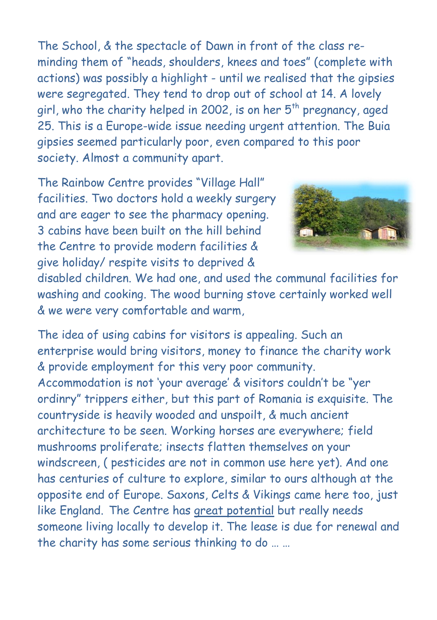The School, & the spectacle of Dawn in front of the class reminding them of "heads, shoulders, knees and toes" (complete with actions) was possibly a highlight - until we realised that the gipsies were segregated. They tend to drop out of school at 14. A lovely girl, who the charity helped in 2002, is on her  $5<sup>th</sup>$  pregnancy, aged 25. This is a Europe-wide issue needing urgent attention. The Buia gipsies seemed particularly poor, even compared to this poor society. Almost a community apart.

The Rainbow Centre provides "Village Hall" facilities. Two doctors hold a weekly surgery and are eager to see the pharmacy opening. 3 cabins have been built on the hill behind the Centre to provide modern facilities & give holiday/ respite visits to deprived &



disabled children. We had one, and used the communal facilities for washing and cooking. The wood burning stove certainly worked well & we were very comfortable and warm,

The idea of using cabins for visitors is appealing. Such an enterprise would bring visitors, money to finance the charity work & provide employment for this very poor community. Accommodation is not 'your average' & visitors couldn't be "yer ordinry" trippers either, but this part of Romania is exquisite. The countryside is heavily wooded and unspoilt, & much ancient architecture to be seen. Working horses are everywhere; field mushrooms proliferate; insects flatten themselves on your windscreen, ( pesticides are not in common use here yet). And one has centuries of culture to explore, similar to ours although at the opposite end of Europe. Saxons, Celts & Vikings came here too, just like England. The Centre has great potential but really needs someone living locally to develop it. The lease is due for renewal and the charity has some serious thinking to do … …